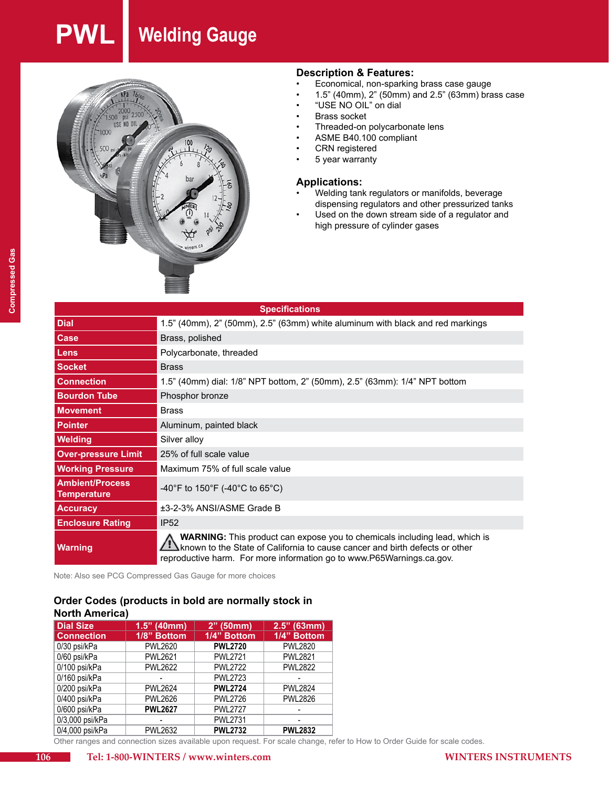# **PWL Welding Gauge**



# **Description & Features:**<br>• Economical. non-sparking

- Economical, non-sparking brass case gauge
- • 1.5" (40mm), 2" (50mm) and 2.5" (63mm) brass case
- "USE NO OIL" on dial
- **Brass socket**
- Threaded-on polycarbonate lens
- ASME B40.100 compliant
- CRN registered
- 5 year warranty

#### **Applications:**

- Welding tank regulators or manifolds, beverage dispensing regulators and other pressurized tanks
- Used on the down stream side of a regulator and high pressure of cylinder gases

| <b>Specifications</b>                        |                                                                                                                                                                                                                                           |  |  |  |
|----------------------------------------------|-------------------------------------------------------------------------------------------------------------------------------------------------------------------------------------------------------------------------------------------|--|--|--|
| <b>Dial</b>                                  | 1.5" (40mm), 2" (50mm), 2.5" (63mm) white aluminum with black and red markings                                                                                                                                                            |  |  |  |
| <b>Case</b>                                  | Brass, polished                                                                                                                                                                                                                           |  |  |  |
| <b>Lens</b>                                  | Polycarbonate, threaded                                                                                                                                                                                                                   |  |  |  |
| <b>Socket</b>                                | <b>Brass</b>                                                                                                                                                                                                                              |  |  |  |
| <b>Connection</b>                            | 1.5" (40mm) dial: 1/8" NPT bottom, 2" (50mm), 2.5" (63mm): 1/4" NPT bottom                                                                                                                                                                |  |  |  |
| <b>Bourdon Tube</b>                          | Phosphor bronze                                                                                                                                                                                                                           |  |  |  |
| <b>Movement</b>                              | <b>Brass</b>                                                                                                                                                                                                                              |  |  |  |
| <b>Pointer</b>                               | Aluminum, painted black                                                                                                                                                                                                                   |  |  |  |
| <b>Welding</b>                               | Silver alloy                                                                                                                                                                                                                              |  |  |  |
| <b>Over-pressure Limit</b>                   | 25% of full scale value                                                                                                                                                                                                                   |  |  |  |
| <b>Working Pressure</b>                      | Maximum 75% of full scale value                                                                                                                                                                                                           |  |  |  |
| <b>Ambient/Process</b><br><b>Temperature</b> | -40°F to 150°F (-40°C to 65°C)                                                                                                                                                                                                            |  |  |  |
| <b>Accuracy</b>                              | ±3-2-3% ANSI/ASME Grade B                                                                                                                                                                                                                 |  |  |  |
| <b>Enclosure Rating</b>                      | IP52                                                                                                                                                                                                                                      |  |  |  |
| <b>Warning</b>                               | <b>WARNING:</b> This product can expose you to chemicals including lead, which is<br>known to the State of California to cause cancer and birth defects or other<br>reproductive harm. For more information go to www.P65Warnings.ca.gov. |  |  |  |

Note: Also see PCG Compressed Gas Gauge for more choices

#### **Order Codes (products in bold are normally stock in North America)**

| <b>Dial Size</b>  | $1.5"$ (40mm)  | $2"$ (50mm)     | $2.5"$ (63mm)  |
|-------------------|----------------|-----------------|----------------|
| <b>Connection</b> | 1/8" Bottom    | 1/4" Bottom     | 1/4" Bottom    |
| 0/30 psi/kPa      | <b>PWL2620</b> | <b>PWL2720</b>  | <b>PWL2820</b> |
| 0/60 psi/kPa      | <b>PWL2621</b> | <b>PWL2721</b>  | <b>PWL2821</b> |
| 0/100 psi/kPa     | <b>PWL2622</b> | <b>PWI 2722</b> | <b>PWL2822</b> |
| 0/160 psi/kPa     |                | <b>PWL2723</b>  |                |
| 0/200 psi/kPa     | <b>PWL2624</b> | <b>PWL2724</b>  | <b>PWL2824</b> |
| 0/400 psi/kPa     | <b>PWL2626</b> | <b>PWL2726</b>  | <b>PWL2826</b> |
| 0/600 psi/kPa     | <b>PWL2627</b> | <b>PWL2727</b>  |                |
| 0/3,000 psi/kPa   |                | <b>PWL2731</b>  |                |
| 0/4,000 psi/kPa   | <b>PWL2632</b> | <b>PWL2732</b>  | <b>PWL2832</b> |

Other ranges and connection sizes available upon request. For scale change, refer to How to Order Guide for scale codes.